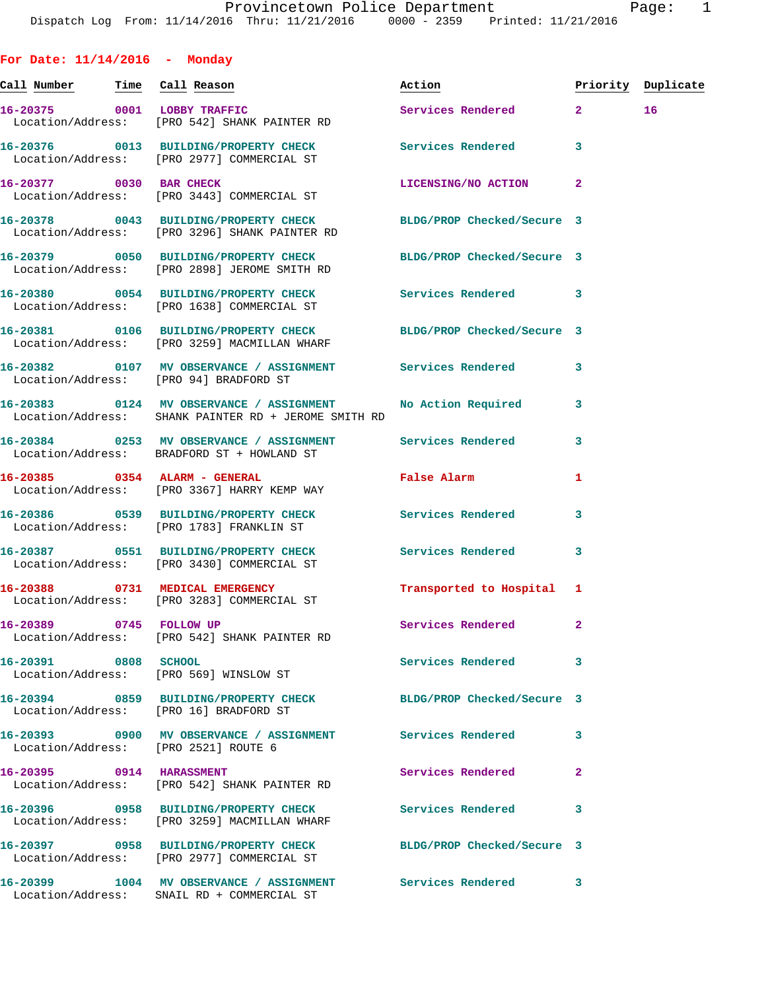**For Date: 11/14/2016 - Monday Call Number Time Call Reason Action Priority Duplicate 16-20375 0001 LOBBY TRAFFIC Services Rendered 2 16**  Location/Address: [PRO 542] SHANK PAINTER RD **16-20376 0013 BUILDING/PROPERTY CHECK Services Rendered 3**  Location/Address: [PRO 2977] COMMERCIAL ST **16-20377 0030 BAR CHECK LICENSING/NO ACTION 2**  Location/Address: [PRO 3443] COMMERCIAL ST **16-20378 0043 BUILDING/PROPERTY CHECK BLDG/PROP Checked/Secure 3**  Location/Address: [PRO 3296] SHANK PAINTER RD **16-20379 0050 BUILDING/PROPERTY CHECK BLDG/PROP Checked/Secure 3**  Location/Address: [PRO 2898] JEROME SMITH RD **16-20380 0054 BUILDING/PROPERTY CHECK Services Rendered 3**  Location/Address: [PRO 1638] COMMERCIAL ST **16-20381 0106 BUILDING/PROPERTY CHECK BLDG/PROP Checked/Secure 3**  Location/Address: [PRO 3259] MACMILLAN WHARF **16-20382 0107 MV OBSERVANCE / ASSIGNMENT Services Rendered 3**  Location/Address: [PRO 94] BRADFORD ST **16-20383 0124 MV OBSERVANCE / ASSIGNMENT No Action Required 3**  Location/Address: SHANK PAINTER RD + JEROME SMITH RD **16-20384 0253 MV OBSERVANCE / ASSIGNMENT Services Rendered 3**  Location/Address: BRADFORD ST + HOWLAND ST **16-20385 0354 ALARM - GENERAL False Alarm 1**  Location/Address: [PRO 3367] HARRY KEMP WAY **16-20386 0539 BUILDING/PROPERTY CHECK Services Rendered 3**  Location/Address: [PRO 1783] FRANKLIN ST **16-20387 0551 BUILDING/PROPERTY CHECK Services Rendered 3**  Location/Address: [PRO 3430] COMMERCIAL ST **16-20388 0731 MEDICAL EMERGENCY Transported to Hospital 1**  Location/Address: [PRO 3283] COMMERCIAL ST **16-20389 0745 FOLLOW UP Services Rendered 2**  Location/Address: [PRO 542] SHANK PAINTER RD **16-20391 0808 SCHOOL Services Rendered 3**  Location/Address: [PRO 569] WINSLOW ST **16-20394 0859 BUILDING/PROPERTY CHECK BLDG/PROP Checked/Secure 3**  Location/Address: [PRO 16] BRADFORD ST **16-20393 0900 MV OBSERVANCE / ASSIGNMENT Services Rendered 3**  Location/Address: [PRO 2521] ROUTE 6 **16-20395 0914 HARASSMENT Services Rendered 2**  Location/Address: [PRO 542] SHANK PAINTER RD **16-20396 0958 BUILDING/PROPERTY CHECK Services Rendered 3**  Location/Address: [PRO 3259] MACMILLAN WHARF **16-20397 0958 BUILDING/PROPERTY CHECK BLDG/PROP Checked/Secure 3**  Location/Address: [PRO 2977] COMMERCIAL ST

**16-20399 1004 MV OBSERVANCE / ASSIGNMENT Services Rendered 3** 

Location/Address: SNAIL RD + COMMERCIAL ST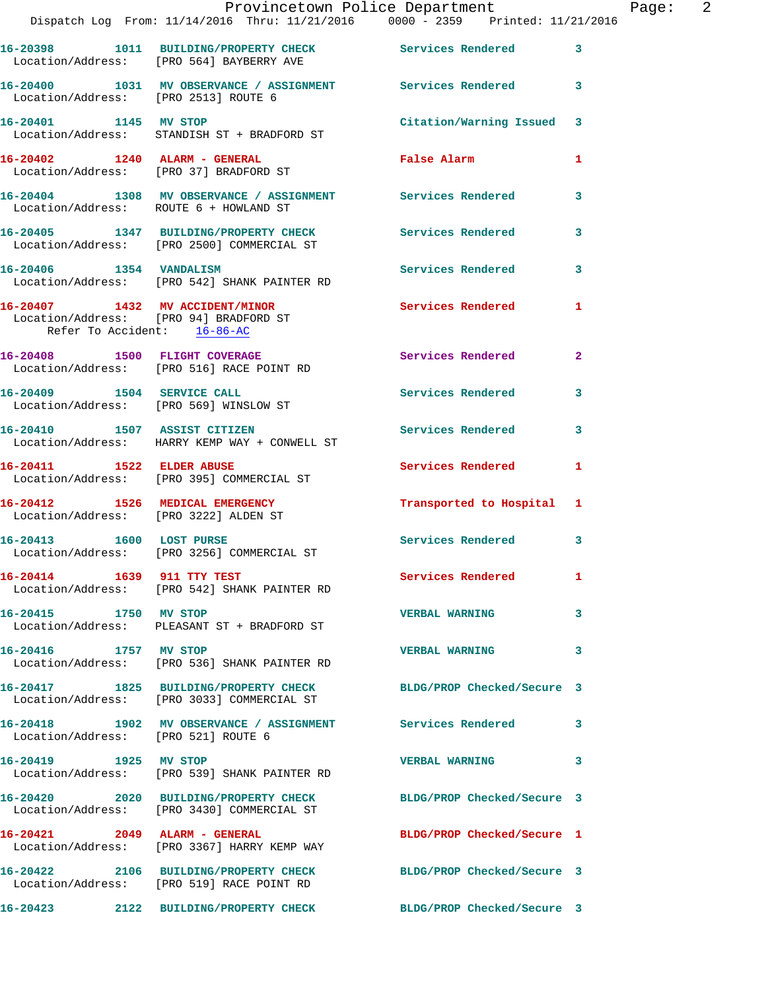|                                                                          | Provincetown Police Department<br>Dispatch Log From: 11/14/2016 Thru: 11/21/2016 0000 - 2359 Printed: 11/21/2016 |                            |                |
|--------------------------------------------------------------------------|------------------------------------------------------------------------------------------------------------------|----------------------------|----------------|
|                                                                          | 16-20398 1011 BUILDING/PROPERTY CHECK Services Rendered<br>Location/Address: [PRO 564] BAYBERRY AVE              |                            | 3              |
| Location/Address: [PRO 2513] ROUTE 6                                     | 16-20400 1031 MV OBSERVANCE / ASSIGNMENT Services Rendered                                                       |                            | 3              |
|                                                                          | 16-20401 1145 MV STOP<br>Location/Address: STANDISH ST + BRADFORD ST                                             | Citation/Warning Issued    | 3              |
| 16-20402 1240 ALARM - GENERAL                                            | Location/Address: [PRO 37] BRADFORD ST                                                                           | False Alarm                | 1              |
| Location/Address: ROUTE 6 + HOWLAND ST                                   | 16-20404 1308 MV OBSERVANCE / ASSIGNMENT Services Rendered                                                       |                            | 3              |
|                                                                          | 16-20405 1347 BUILDING/PROPERTY CHECK Services Rendered<br>Location/Address: [PRO 2500] COMMERCIAL ST            |                            | 3              |
|                                                                          | 16-20406 1354 VANDALISM<br>Location/Address: [PRO 542] SHANK PAINTER RD                                          | Services Rendered          | 3              |
| Location/Address: [PRO 94] BRADFORD ST<br>Refer To Accident: 16-86-AC    | 16-20407 1432 MV ACCIDENT/MINOR                                                                                  | <b>Services Rendered</b>   | 1              |
|                                                                          | 16-20408 1500 FLIGHT COVERAGE<br>Location/Address: [PRO 516] RACE POINT RD                                       | Services Rendered          | $\overline{2}$ |
|                                                                          | 16-20409 1504 SERVICE CALL<br>Location/Address: [PRO 569] WINSLOW ST                                             | <b>Services Rendered</b>   | 3              |
| 16-20410 1507 ASSIST CITIZEN                                             | Location/Address: HARRY KEMP WAY + CONWELL ST                                                                    | <b>Services Rendered</b>   | 3              |
| 16-20411 1522 ELDER ABUSE                                                | Location/Address: [PRO 395] COMMERCIAL ST                                                                        | Services Rendered          | 1              |
| 16-20412 1526 MEDICAL EMERGENCY<br>Location/Address: [PRO 3222] ALDEN ST |                                                                                                                  | Transported to Hospital    | 1              |
|                                                                          | 16-20413 1600 LOST PURSE<br>Location/Address: [PRO 3256] COMMERCIAL ST                                           | Services Rendered          | 3              |
| 16-20414 1639 911 TTY TEST                                               | Location/Address: [PRO 542] SHANK PAINTER RD                                                                     | Services Rendered          | 1              |
| 16-20415 1750 MV STOP                                                    | Location/Address: PLEASANT ST + BRADFORD ST                                                                      | <b>VERBAL WARNING</b>      | 3              |
| 16-20416 1757 MV STOP                                                    | Location/Address: [PRO 536] SHANK PAINTER RD                                                                     | <b>VERBAL WARNING</b>      | 3              |
|                                                                          | 16-20417 1825 BUILDING/PROPERTY CHECK<br>Location/Address: [PRO 3033] COMMERCIAL ST                              | BLDG/PROP Checked/Secure 3 |                |
| Location/Address: [PRO 521] ROUTE 6                                      | 16-20418 1902 MV OBSERVANCE / ASSIGNMENT Services Rendered                                                       |                            | 3              |
| 16-20419 1925 MV STOP                                                    | Location/Address: [PRO 539] SHANK PAINTER RD                                                                     | <b>VERBAL WARNING</b>      | 3              |
|                                                                          | 16-20420 2020 BUILDING/PROPERTY CHECK BLDG/PROP Checked/Secure 3<br>Location/Address: [PRO 3430] COMMERCIAL ST   |                            |                |
|                                                                          | 16-20421 2049 ALARM - GENERAL<br>Location/Address: [PRO 3367] HARRY KEMP WAY                                     | BLDG/PROP Checked/Secure 1 |                |
|                                                                          | 16-20422 2106 BUILDING/PROPERTY CHECK BLDG/PROP Checked/Secure 3<br>Location/Address: [PRO 519] RACE POINT RD    |                            |                |
|                                                                          | 16-20423 2122 BUILDING/PROPERTY CHECK                                                                            | BLDG/PROP Checked/Secure 3 |                |

Page: 2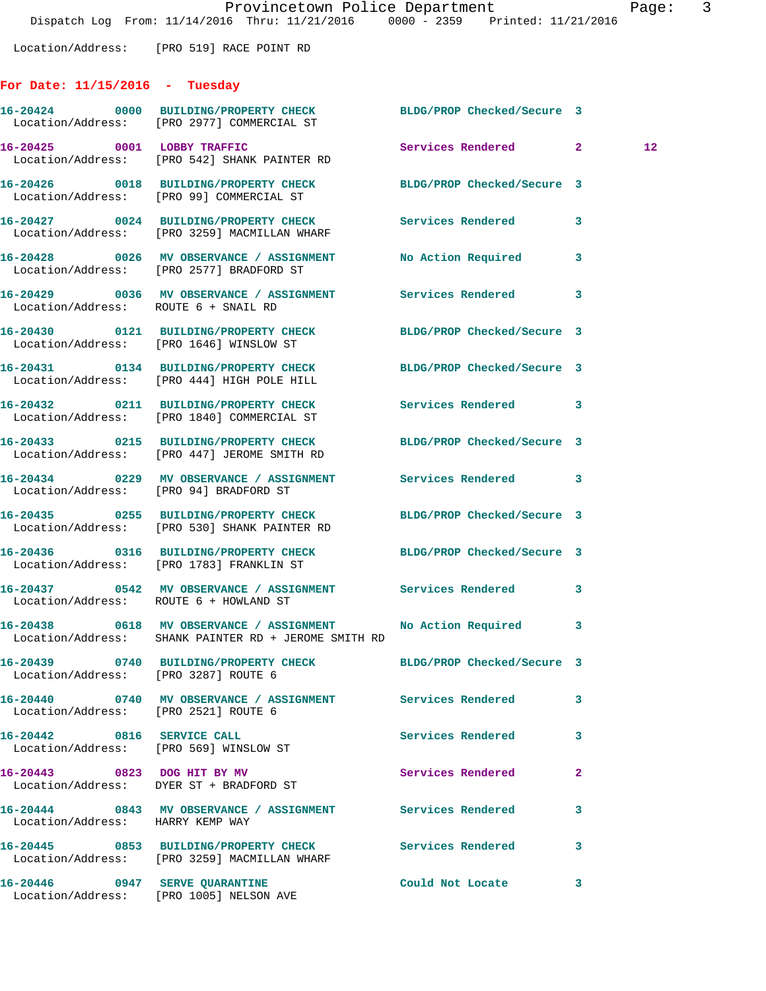Location/Address: [PRO 519] RACE POINT RD

## **For Date: 11/15/2016 - Tuesday**

|                                      | 16-20424 0000 BUILDING/PROPERTY CHECK<br>Location/Address: [PRO 2977] COMMERCIAL ST                                   | BLDG/PROP Checked/Secure 3 |              |         |
|--------------------------------------|-----------------------------------------------------------------------------------------------------------------------|----------------------------|--------------|---------|
|                                      | 16-20425 0001 LOBBY TRAFFIC<br>Location/Address: [PRO 542] SHANK PAINTER RD                                           | Services Rendered 2        |              | $12 \,$ |
|                                      | 16-20426 0018 BUILDING/PROPERTY CHECK BLDG/PROP Checked/Secure 3<br>Location/Address: [PRO 99] COMMERCIAL ST          |                            |              |         |
|                                      | 16-20427 0024 BUILDING/PROPERTY CHECK Services Rendered<br>Location/Address: [PRO 3259] MACMILLAN WHARF               |                            | 3            |         |
|                                      | 16-20428 0026 MV OBSERVANCE / ASSIGNMENT No Action Required<br>Location/Address: [PRO 2577] BRADFORD ST               |                            | 3            |         |
| Location/Address: ROUTE 6 + SNAIL RD | 16-20429 0036 MV OBSERVANCE / ASSIGNMENT Services Rendered                                                            |                            | 3            |         |
|                                      | 16-20430 0121 BUILDING/PROPERTY CHECK BLDG/PROP Checked/Secure 3<br>Location/Address: [PRO 1646] WINSLOW ST           |                            |              |         |
|                                      | 16-20431 0134 BUILDING/PROPERTY CHECK BLDG/PROP Checked/Secure 3<br>Location/Address: [PRO 444] HIGH POLE HILL        |                            |              |         |
|                                      | 16-20432 0211 BUILDING/PROPERTY CHECK<br>Location/Address: [PRO 1840] COMMERCIAL ST                                   | Services Rendered 3        |              |         |
|                                      | 16-20433 0215 BUILDING/PROPERTY CHECK<br>Location/Address: [PRO 447] JEROME SMITH RD                                  | BLDG/PROP Checked/Secure 3 |              |         |
|                                      | 16-20434 0229 MV OBSERVANCE / ASSIGNMENT Services Rendered 3<br>Location/Address: [PRO 94] BRADFORD ST                |                            |              |         |
|                                      | 16-20435 0255 BUILDING/PROPERTY CHECK BLDG/PROP Checked/Secure 3<br>Location/Address: [PRO 530] SHANK PAINTER RD      |                            |              |         |
|                                      | 16-20436 0316 BUILDING/PROPERTY CHECK BLDG/PROP Checked/Secure 3<br>Location/Address: [PRO 1783] FRANKLIN ST          |                            |              |         |
|                                      | 16-20437 0542 MV OBSERVANCE / ASSIGNMENT Services Rendered<br>Location/Address: ROUTE 6 + HOWLAND ST                  |                            | 3            |         |
|                                      | 16-20438 0618 MV OBSERVANCE / ASSIGNMENT No Action Required 3<br>Location/Address: SHANK PAINTER RD + JEROME SMITH RD |                            |              |         |
| Location/Address: [PRO 3287] ROUTE 6 | 16-20439 0740 BUILDING/PROPERTY CHECK BLDG/PROP Checked/Secure 3                                                      |                            |              |         |
| Location/Address: [PRO 2521] ROUTE 6 | 16-20440 0740 MV OBSERVANCE / ASSIGNMENT Services Rendered                                                            |                            | 3            |         |
| 16-20442 0816 SERVICE CALL           | Location/Address: [PRO 569] WINSLOW ST                                                                                | Services Rendered          | 3            |         |
|                                      | 16-20443 0823 DOG HIT BY MV<br>Location/Address: DYER ST + BRADFORD ST                                                | Services Rendered          | $\mathbf{2}$ |         |
| Location/Address: HARRY KEMP WAY     | 16-20444 0843 MV OBSERVANCE / ASSIGNMENT Services Rendered                                                            |                            | 3            |         |
|                                      | 16-20445 0853 BUILDING/PROPERTY CHECK Services Rendered<br>Location/Address: [PRO 3259] MACMILLAN WHARF               |                            | 3            |         |
| 16-20446 0947 SERVE QUARANTINE       | Location/Address: [PRO 1005] NELSON AVE                                                                               | Could Not Locate           | 3            |         |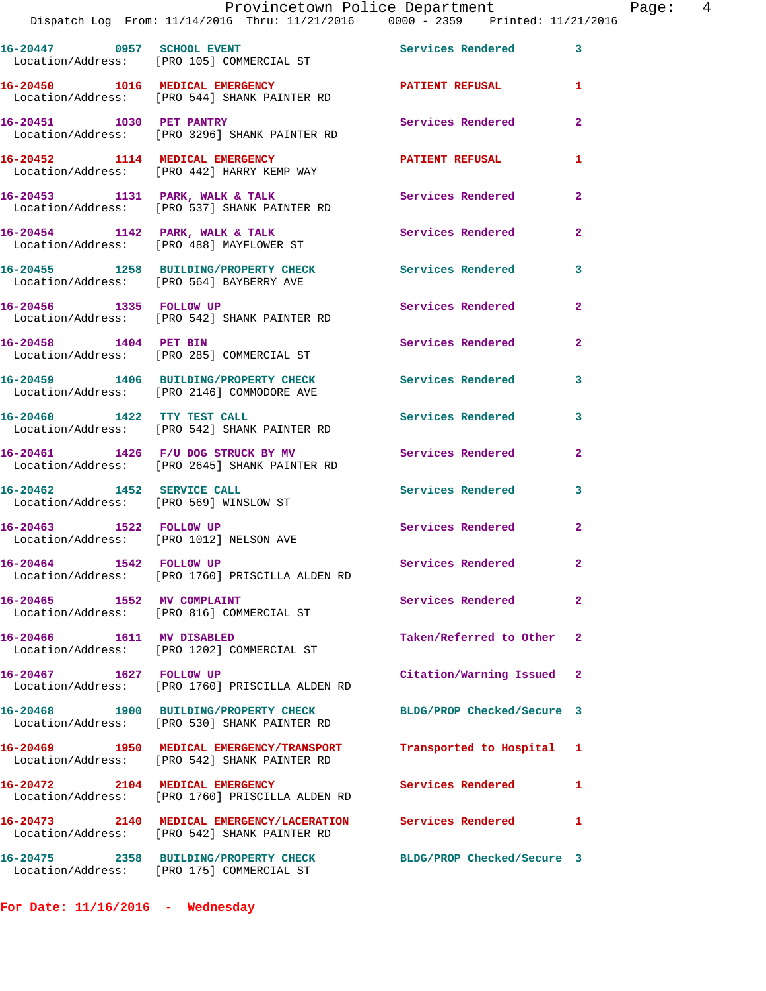|                                 | Dispatch Log From: 11/14/2016 Thru: 11/21/2016    0000 - 2359   Printed: 11/21/                              |                            |                |
|---------------------------------|--------------------------------------------------------------------------------------------------------------|----------------------------|----------------|
| 16-20447 0957 SCHOOL EVENT      | Location/Address: [PRO 105] COMMERCIAL ST                                                                    | Services Rendered 3        |                |
|                                 | 16-20450 1016 MEDICAL EMERGENCY<br>Location/Address: [PRO 544] SHANK PAINTER RD                              | <b>PATIENT REFUSAL</b>     | 1              |
| 16-20451 1030 PET PANTRY        | Location/Address: [PRO 3296] SHANK PAINTER RD                                                                | Services Rendered          | $\overline{2}$ |
|                                 | 16-20452 1114 MEDICAL EMERGENCY<br>Location/Address: [PRO 442] HARRY KEMP WAY                                | <b>PATIENT REFUSAL</b>     | 1              |
|                                 | 16-20453 1131 PARK, WALK & TALK<br>Location/Address: [PRO 537] SHANK PAINTER RD                              | Services Rendered          | $\overline{2}$ |
|                                 | 16-20454 1142 PARK, WALK & TALK<br>Location/Address: [PRO 488] MAYFLOWER ST                                  | <b>Services Rendered</b>   | $\mathbf{2}$   |
|                                 | 16-20455 1258 BUILDING/PROPERTY CHECK<br>Location/Address: [PRO 564] BAYBERRY AVE                            | Services Rendered          | $\mathbf{3}$   |
| 16-20456 1335 FOLLOW UP         | Location/Address: [PRO 542] SHANK PAINTER RD                                                                 | Services Rendered          | $\overline{2}$ |
| 16-20458 1404 PET BIN           | Location/Address: [PRO 285] COMMERCIAL ST                                                                    | Services Rendered          | $\overline{2}$ |
|                                 | 16-20459 1406 BUILDING/PROPERTY CHECK<br>Location/Address: [PRO 2146] COMMODORE AVE                          | <b>Services Rendered</b>   | 3              |
| 16-20460 1422 TTY TEST CALL     | Location/Address: [PRO 542] SHANK PAINTER RD                                                                 | Services Rendered          | 3              |
|                                 | 16-20461 1426 F/U DOG STRUCK BY MV<br>Location/Address: [PRO 2645] SHANK PAINTER RD                          | Services Rendered          | $\overline{2}$ |
| 16-20462 1452 SERVICE CALL      | Location/Address: [PRO 569] WINSLOW ST                                                                       | Services Rendered          | 3              |
| 16-20463 1522 FOLLOW UP         | Location/Address: [PRO 1012] NELSON AVE                                                                      | Services Rendered          | $\overline{2}$ |
| 16-20464 1542 FOLLOW UP         | Location/Address: [PRO 1760] PRISCILLA ALDEN RD                                                              | Services Rendered          | $\mathbf{2}$   |
| 16-20465 1552 MV COMPLAINT      | Location/Address: [PRO 816] COMMERCIAL ST                                                                    | Services Rendered          | $\mathbf{2}$   |
| 16-20466 1611 MV DISABLED       | Location/Address: [PRO 1202] COMMERCIAL ST                                                                   | Taken/Referred to Other 2  |                |
|                                 | 16-20467 1627 FOLLOW UP<br>Location/Address: [PRO 1760] PRISCILLA ALDEN RD                                   | Citation/Warning Issued 2  |                |
|                                 | 16-20468 1900 BUILDING/PROPERTY CHECK<br>Location/Address: [PRO 530] SHANK PAINTER RD                        | BLDG/PROP Checked/Secure 3 |                |
|                                 | 16-20469 1950 MEDICAL EMERGENCY/TRANSPORT<br>Location/Address: [PRO 542] SHANK PAINTER RD                    | Transported to Hospital 1  |                |
| 16-20472 2104 MEDICAL EMERGENCY | Location/Address: [PRO 1760] PRISCILLA ALDEN RD                                                              | Services Rendered          | 1              |
|                                 | 16-20473 2140 MEDICAL EMERGENCY/LACERATION Services Rendered<br>Location/Address: [PRO 542] SHANK PAINTER RD |                            | 1              |
|                                 | 16-20475 2358 BUILDING/PROPERTY CHECK<br>Location/Address: [PRO 175] COMMERCIAL ST                           | BLDG/PROP Checked/Secure 3 |                |
|                                 |                                                                                                              |                            |                |

**For Date: 11/16/2016 - Wednesday**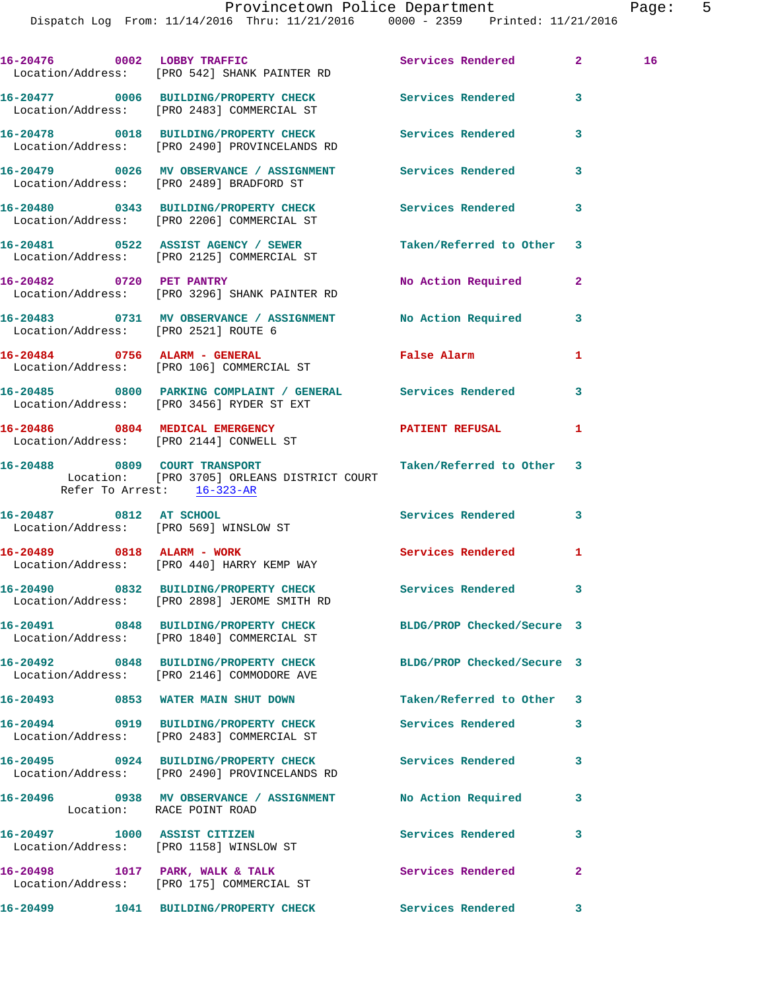**16-20476 0002 LOBBY TRAFFIC Services Rendered 2 16**  Location/Address: [PRO 542] SHANK PAINTER RD **16-20477 0006 BUILDING/PROPERTY CHECK Services Rendered 3**  Location/Address: [PRO 2483] COMMERCIAL ST **16-20478 0018 BUILDING/PROPERTY CHECK Services Rendered 3**  Location/Address: [PRO 2490] PROVINCELANDS RD **16-20479 0026 MV OBSERVANCE / ASSIGNMENT Services Rendered 3**  Location/Address: [PRO 2489] BRADFORD ST **16-20480 0343 BUILDING/PROPERTY CHECK Services Rendered 3**  Location/Address: [PRO 2206] COMMERCIAL ST **16-20481 0522 ASSIST AGENCY / SEWER Taken/Referred to Other 3**  Location/Address: [PRO 2125] COMMERCIAL ST **16-20482 0720 PET PANTRY No Action Required 2**  Location/Address: [PRO 3296] SHANK PAINTER RD **16-20483 0731 MV OBSERVANCE / ASSIGNMENT No Action Required 3**  Location/Address: [PRO 2521] ROUTE 6 **16-20484 0756 ALARM - GENERAL False Alarm 1**  Location/Address: [PRO 106] COMMERCIAL ST **16-20485 0800 PARKING COMPLAINT / GENERAL Services Rendered 3**  Location/Address: [PRO 3456] RYDER ST EXT **16-20486 0804 MEDICAL EMERGENCY PATIENT REFUSAL 1**  Location/Address: [PRO 2144] CONWELL ST **16-20488 0809 COURT TRANSPORT Taken/Referred to Other 3**  Location: [PRO 3705] ORLEANS DISTRICT COURT Refer To Arrest: 16-323-AR **16-20487 0812 AT SCHOOL Services Rendered 3**  Location/Address: [PRO 569] WINSLOW ST **16-20489 0818 ALARM - WORK Services Rendered 1**  Location/Address: [PRO 440] HARRY KEMP WAY **16-20490 0832 BUILDING/PROPERTY CHECK Services Rendered 3**  Location/Address: [PRO 2898] JEROME SMITH RD **16-20491 0848 BUILDING/PROPERTY CHECK BLDG/PROP Checked/Secure 3**  Location/Address: [PRO 1840] COMMERCIAL ST **16-20492 0848 BUILDING/PROPERTY CHECK BLDG/PROP Checked/Secure 3**  Location/Address: [PRO 2146] COMMODORE AVE **16-20493 0853 WATER MAIN SHUT DOWN Taken/Referred to Other 3 16-20494 0919 BUILDING/PROPERTY CHECK Services Rendered 3**  Location/Address: [PRO 2483] COMMERCIAL ST **16-20495 0924 BUILDING/PROPERTY CHECK Services Rendered 3**  Location/Address: [PRO 2490] PROVINCELANDS RD **16-20496 0938 MV OBSERVANCE / ASSIGNMENT No Action Required 3**  Location: RACE POINT ROAD **16-20497 1000 ASSIST CITIZEN Services Rendered 3**  Location/Address: [PRO 1158] WINSLOW ST 16-20498 1017 PARK, WALK & TALK **Services Rendered** 2 Location/Address: [PRO 175] COMMERCIAL ST **16-20499 1041 BUILDING/PROPERTY CHECK Services Rendered 3**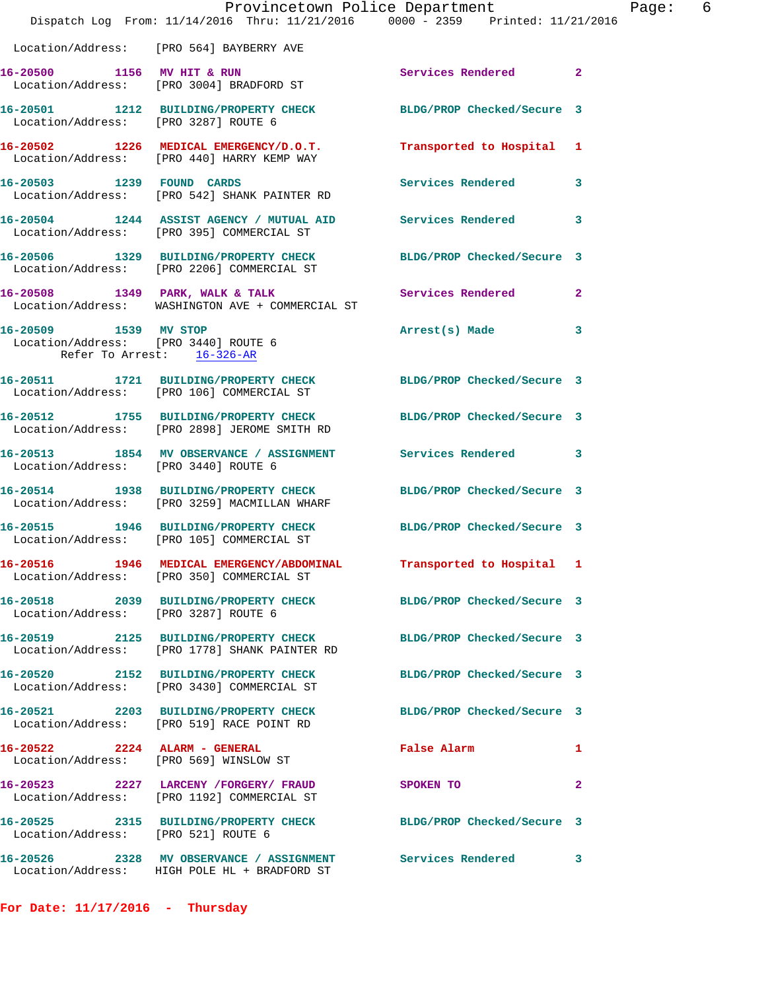|                                                                                             | Provincetown Police Department<br>Dispatch Log From: 11/14/2016 Thru: 11/21/2016 0000 - 2359 Printed: 11/21/2016  |                            |                |
|---------------------------------------------------------------------------------------------|-------------------------------------------------------------------------------------------------------------------|----------------------------|----------------|
|                                                                                             | Location/Address: [PRO 564] BAYBERRY AVE                                                                          |                            |                |
|                                                                                             | 16-20500 1156 MV HIT & RUN<br>Location/Address: [PRO 3004] BRADFORD ST                                            | Services Rendered          | $\mathbf{2}$   |
|                                                                                             | 16-20501 1212 BUILDING/PROPERTY CHECK BLDG/PROP Checked/Secure 3<br>Location/Address: [PRO 3287] ROUTE 6          |                            |                |
|                                                                                             | 16-20502 1226 MEDICAL EMERGENCY/D.O.T.<br>Location/Address: [PRO 440] HARRY KEMP WAY                              | Transported to Hospital    | 1              |
|                                                                                             | 16-20503 1239 FOUND CARDS<br>Location/Address: [PRO 542] SHANK PAINTER RD                                         | Services Rendered          | 3              |
|                                                                                             | 16-20504 1244 ASSIST AGENCY / MUTUAL AID Services Rendered<br>Location/Address: [PRO 395] COMMERCIAL ST           |                            | 3              |
|                                                                                             | 16-20506 1329 BUILDING/PROPERTY CHECK BLDG/PROP Checked/Secure 3<br>Location/Address: [PRO 2206] COMMERCIAL ST    |                            |                |
|                                                                                             | 16-20508 1349 PARK, WALK & TALK 1988 Services Rendered<br>Location/Address: WASHINGTON AVE + COMMERCIAL ST        |                            | $\overline{a}$ |
| 16-20509 1539 MV STOP<br>Location/Address: [PRO 3440] ROUTE 6<br>Refer To Arrest: 16-326-AR |                                                                                                                   | Arrest(s) Made             | 3              |
|                                                                                             | 16-20511 1721 BUILDING/PROPERTY CHECK BLDG/PROP Checked/Secure 3<br>Location/Address: [PRO 106] COMMERCIAL ST     |                            |                |
|                                                                                             | 16-20512 1755 BUILDING/PROPERTY CHECK<br>Location/Address: [PRO 2898] JEROME SMITH RD                             | BLDG/PROP Checked/Secure 3 |                |
|                                                                                             | 16-20513 1854 MV OBSERVANCE / ASSIGNMENT Services Rendered<br>Location/Address: [PRO 3440] ROUTE 6                |                            | 3              |
|                                                                                             | 16-20514 1938 BUILDING/PROPERTY CHECK BLDG/PROP Checked/Secure 3<br>Location/Address: [PRO 3259] MACMILLAN WHARF  |                            |                |
|                                                                                             | 16-20515 1946 BUILDING/PROPERTY CHECK BLDG/PROP Checked/Secure 3<br>Location/Address: [PRO 105] COMMERCIAL ST     |                            |                |
|                                                                                             | 16-20516 1946 MEDICAL EMERGENCY/ABDOMINAL<br>Location/Address: [PRO 350] COMMERCIAL ST                            | Transported to Hospital 1  |                |
| Location/Address: [PRO 3287] ROUTE 6                                                        | 16-20518 2039 BUILDING/PROPERTY CHECK                                                                             | BLDG/PROP Checked/Secure 3 |                |
|                                                                                             | 16-20519 2125 BUILDING/PROPERTY CHECK BLDG/PROP Checked/Secure 3<br>Location/Address: [PRO 1778] SHANK PAINTER RD |                            |                |
|                                                                                             | 16-20520 2152 BUILDING/PROPERTY CHECK<br>Location/Address: [PRO 3430] COMMERCIAL ST                               | BLDG/PROP Checked/Secure 3 |                |
|                                                                                             | 16-20521 2203 BUILDING/PROPERTY CHECK<br>Location/Address: [PRO 519] RACE POINT RD                                | BLDG/PROP Checked/Secure 3 |                |
| 16-20522 2224 ALARM - GENERAL                                                               | Location/Address: [PRO 569] WINSLOW ST                                                                            | False Alarm                | 1              |
|                                                                                             | 16-20523 2227 LARCENY /FORGERY FRAUD<br>Location/Address: [PRO 1192] COMMERCIAL ST                                | SPOKEN TO                  | 2              |
| Location/Address: [PRO 521] ROUTE 6                                                         | 16-20525 2315 BUILDING/PROPERTY CHECK                                                                             | BLDG/PROP Checked/Secure 3 |                |
|                                                                                             | 16-20526 2328 MV OBSERVANCE / ASSIGNMENT Services Rendered<br>Location/Address: HIGH POLE HL + BRADFORD ST        |                            | 3              |

**For Date: 11/17/2016 - Thursday**

Page: 6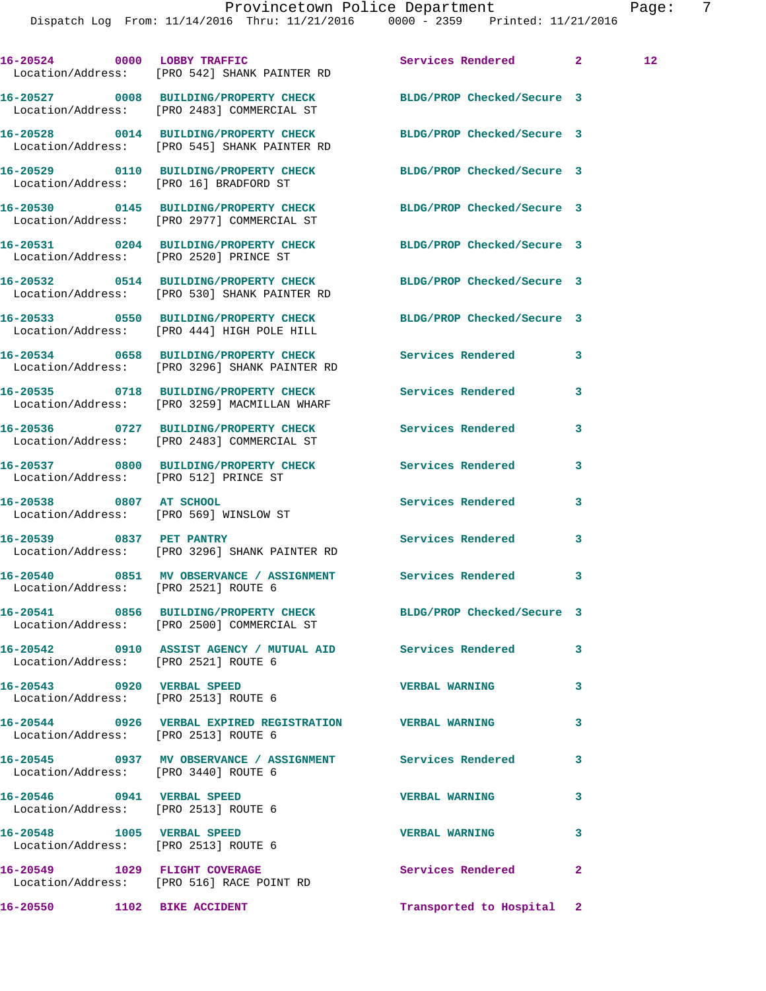Dispatch Log From: 11/14/2016 Thru: 11/21/2016 0000 - 2359 Printed: 11/21/2016

16-20524 0000 LOBBY TRAFFIC Services Rendered 2 12 Location/Address: [PRO 542] SHANK PAINTER RD **16-20527 0008 BUILDING/PROPERTY CHECK BLDG/PROP Checked/Secure 3**  Location/Address: [PRO 2483] COMMERCIAL ST **16-20528 0014 BUILDING/PROPERTY CHECK BLDG/PROP Checked/Secure 3**  Location/Address: [PRO 545] SHANK PAINTER RD **16-20529 0110 BUILDING/PROPERTY CHECK BLDG/PROP Checked/Secure 3**  Location/Address: [PRO 16] BRADFORD ST **16-20530 0145 BUILDING/PROPERTY CHECK BLDG/PROP Checked/Secure 3**  Location/Address: [PRO 2977] COMMERCIAL ST **16-20531 0204 BUILDING/PROPERTY CHECK BLDG/PROP Checked/Secure 3**  Location/Address: [PRO 2520] PRINCE ST **16-20532 0514 BUILDING/PROPERTY CHECK BLDG/PROP Checked/Secure 3**  Location/Address: [PRO 530] SHANK PAINTER RD **16-20533 0550 BUILDING/PROPERTY CHECK BLDG/PROP Checked/Secure 3**  Location/Address: [PRO 444] HIGH POLE HILL **16-20534 0658 BUILDING/PROPERTY CHECK Services Rendered 3**  Location/Address: [PRO 3296] SHANK PAINTER RD **16-20535 0718 BUILDING/PROPERTY CHECK Services Rendered 3**  Location/Address: [PRO 3259] MACMILLAN WHARF **16-20536 0727 BUILDING/PROPERTY CHECK Services Rendered 3**  Location/Address: [PRO 2483] COMMERCIAL ST **16-20537 0800 BUILDING/PROPERTY CHECK Services Rendered 3**  Location/Address: [PRO 512] PRINCE ST **16-20538 0807 AT SCHOOL Services Rendered 3**  Location/Address: [PRO 569] WINSLOW ST **16-20539 0837 PET PANTRY Services Rendered 3**  Location/Address: [PRO 3296] SHANK PAINTER RD **16-20540 0851 MV OBSERVANCE / ASSIGNMENT Services Rendered 3**  Location/Address: [PRO 2521] ROUTE 6 **16-20541 0856 BUILDING/PROPERTY CHECK BLDG/PROP Checked/Secure 3**  Location/Address: [PRO 2500] COMMERCIAL ST **16-20542 0910 ASSIST AGENCY / MUTUAL AID Services Rendered 3**  Location/Address: [PRO 2521] ROUTE 6 **16-20543 0920 VERBAL SPEED VERBAL WARNING 3**  Location/Address: [PRO 2513] ROUTE 6 **16-20544 0926 VERBAL EXPIRED REGISTRATION VERBAL WARNING 3**  Location/Address: [PRO 2513] ROUTE 6 **16-20545 0937 MV OBSERVANCE / ASSIGNMENT Services Rendered 3**  Location/Address: [PRO 3440] ROUTE 6 **16-20546 0941 VERBAL SPEED VERBAL WARNING 3**  Location/Address: [PRO 2513] ROUTE 6 **16-20548 1005 VERBAL SPEED VERBAL WARNING 3**  Location/Address: [PRO 2513] ROUTE 6 **16-20549 1029 FLIGHT COVERAGE Services Rendered 2**  Location/Address: [PRO 516] RACE POINT RD

**16-20550 1102 BIKE ACCIDENT Transported to Hospital 2**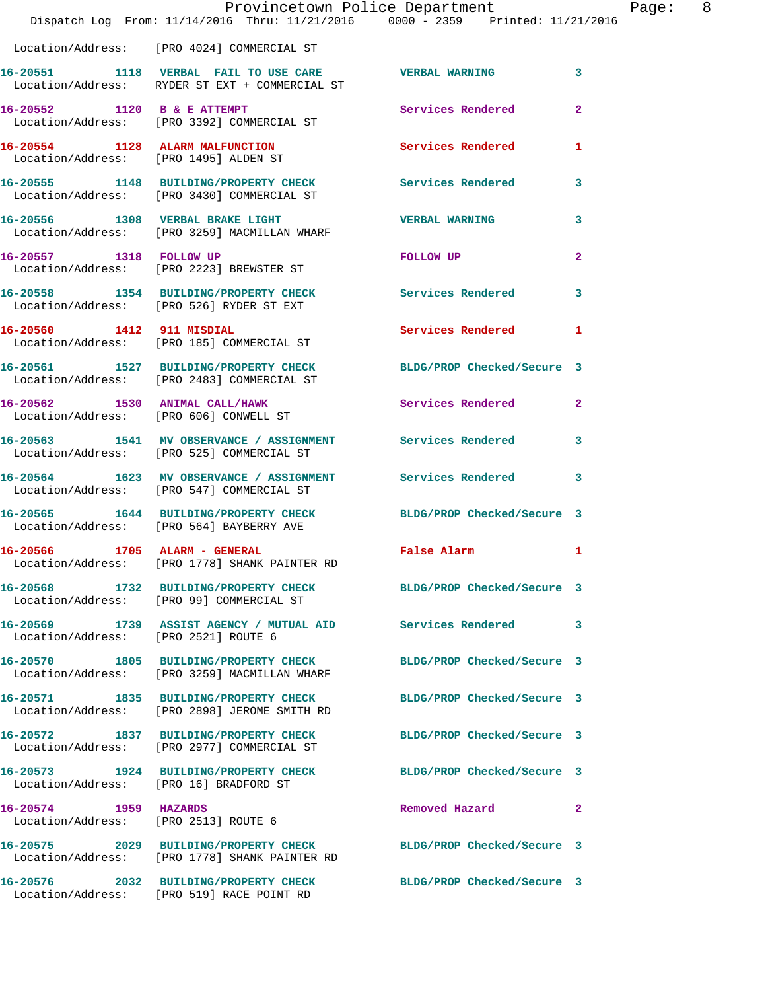|                                                               | Dispatch Log From: 11/14/2016 Thru: 11/21/2016 0000 - 2359 Printed: 11/21/2016                                 | Provincetown Police Department               | Page: 8      |  |
|---------------------------------------------------------------|----------------------------------------------------------------------------------------------------------------|----------------------------------------------|--------------|--|
|                                                               | Location/Address: [PRO 4024] COMMERCIAL ST                                                                     |                                              |              |  |
|                                                               | 16-20551 1118 VERBAL FAIL TO USE CARE VERBAL WARNING 3<br>Location/Address: RYDER ST EXT + COMMERCIAL ST       |                                              |              |  |
|                                                               | 16-20552 1120 B & E ATTEMPT<br>Location/Address: [PRO 3392] COMMERCIAL ST                                      | Services Rendered 2                          |              |  |
|                                                               | 16-20554 1128 ALARM MALFUNCTION Services Rendered 1<br>Location/Address: [PRO 1495] ALDEN ST                   |                                              |              |  |
|                                                               | 16-20555 1148 BUILDING/PROPERTY CHECK Services Rendered 3<br>Location/Address: [PRO 3430] COMMERCIAL ST        |                                              |              |  |
|                                                               | 16-20556 1308 VERBAL BRAKE LIGHT<br>Location/Address: [PRO 3259] MACMILLAN WHARF                               | <b>VERBAL WARNING</b>                        | $\mathbf{3}$ |  |
|                                                               | 16-20557 1318 FOLLOW UP<br>Location/Address: [PRO 2223] BREWSTER ST                                            | FOLLOW UP                                    | $\mathbf{2}$ |  |
|                                                               | 16-20558 1354 BUILDING/PROPERTY CHECK Services Rendered 3<br>Location/Address: [PRO 526] RYDER ST EXT          |                                              |              |  |
|                                                               | 16-20560 1412 911 MISDIAL<br>Location/Address: [PRO 185] COMMERCIAL ST                                         | Services Rendered 1                          |              |  |
|                                                               | 16-20561 1527 BUILDING/PROPERTY CHECK BLDG/PROP Checked/Secure 3<br>Location/Address: [PRO 2483] COMMERCIAL ST |                                              |              |  |
|                                                               | 16-20562 1530 ANIMAL CALL/HAWK 3ervices Rendered 2<br>Location/Address: [PRO 606] CONWELL ST                   |                                              |              |  |
|                                                               | 16-20563 1541 MV OBSERVANCE / ASSIGNMENT Services Rendered 3<br>Location/Address: [PRO 525] COMMERCIAL ST      |                                              |              |  |
|                                                               | 16-20564 1623 MV OBSERVANCE / ASSIGNMENT Services Rendered 3<br>Location/Address: [PRO 547] COMMERCIAL ST      |                                              |              |  |
|                                                               | 16-20565 1644 BUILDING/PROPERTY CHECK BLDG/PROP Checked/Secure 3<br>Location/Address: [PRO 564] BAYBERRY AVE   |                                              |              |  |
| 16-20566 1705 ALARM - GENERAL                                 | Location/Address: [PRO 1778] SHANK PAINTER RD                                                                  | <b>Example 21 Service School</b> False Alarm |              |  |
|                                                               | 16-20568 1732 BUILDING/PROPERTY CHECK BLDG/PROP Checked/Secure 3<br>Location/Address: [PRO 99] COMMERCIAL ST   |                                              |              |  |
| Location/Address: [PRO 2521] ROUTE 6                          | 16-20569 1739 ASSIST AGENCY / MUTUAL AID Services Rendered 3                                                   |                                              |              |  |
|                                                               | 16-20570 1805 BUILDING/PROPERTY CHECK<br>Location/Address: [PRO 3259] MACMILLAN WHARF                          | BLDG/PROP Checked/Secure 3                   |              |  |
|                                                               | 16-20571 1835 BUILDING/PROPERTY CHECK<br>Location/Address: [PRO 2898] JEROME SMITH RD                          | BLDG/PROP Checked/Secure 3                   |              |  |
|                                                               | 16-20572 1837 BUILDING/PROPERTY CHECK<br>Location/Address: [PRO 2977] COMMERCIAL ST                            | BLDG/PROP Checked/Secure 3                   |              |  |
|                                                               | 16-20573 1924 BUILDING/PROPERTY CHECK BLDG/PROP Checked/Secure 3<br>Location/Address: [PRO 16] BRADFORD ST     |                                              |              |  |
| 16-20574 1959 HAZARDS<br>Location/Address: [PRO 2513] ROUTE 6 |                                                                                                                | Removed Hazard                               | $\mathbf{2}$ |  |
|                                                               | 16-20575 2029 BUILDING/PROPERTY CHECK<br>Location/Address: [PRO 1778] SHANK PAINTER RD                         | BLDG/PROP Checked/Secure 3                   |              |  |
|                                                               | 16-20576 2032 BUILDING/PROPERTY CHECK BLDG/PROP Checked/Secure 3<br>Location/Address: [PRO 519] RACE POINT RD  |                                              |              |  |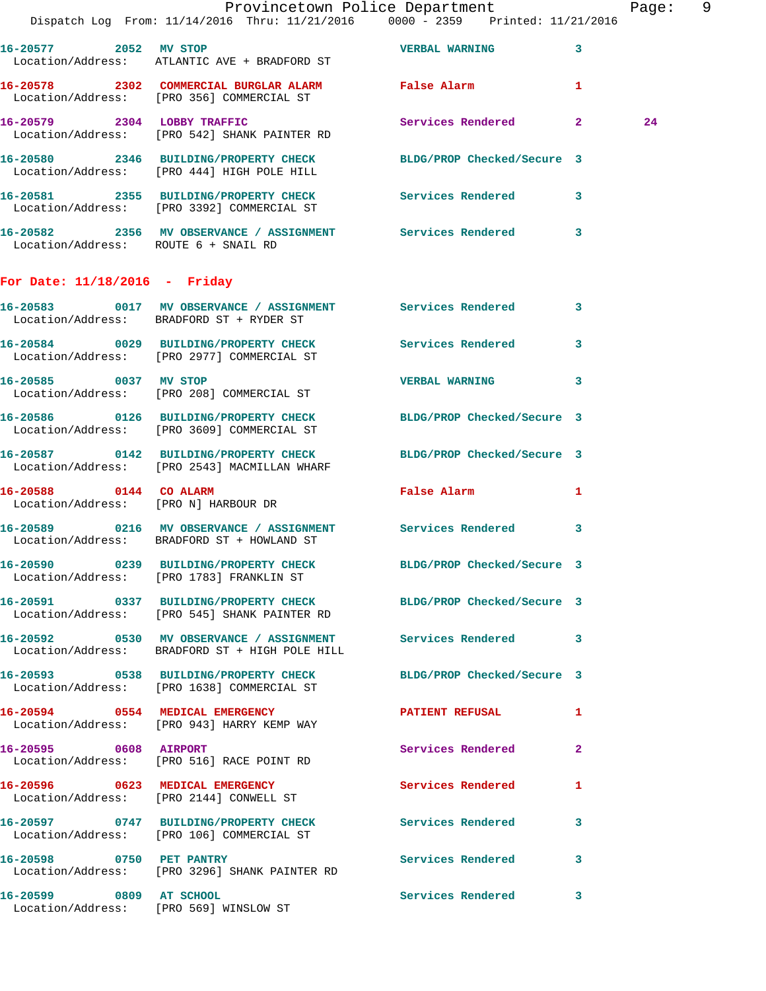|                                      | Dispatch Log From: 11/14/2016 Thru: 11/21/2016 0000 - 2359 Printed: 11/21/2016                                     | Provincetown Police Department |              | Page: 9 |  |
|--------------------------------------|--------------------------------------------------------------------------------------------------------------------|--------------------------------|--------------|---------|--|
|                                      | 16-20577 2052 MV STOP<br>Location/Address: ATLANTIC AVE + BRADFORD ST                                              | <b>VERBAL WARNING 3</b>        |              |         |  |
|                                      | 16-20578 2302 COMMERCIAL BURGLAR ALARM False Alarm<br>Location/Address: [PRO 356] COMMERCIAL ST                    |                                | $\mathbf{1}$ |         |  |
|                                      | 16-20579 2304 LOBBY TRAFFIC<br>Location/Address: [PRO 542] SHANK PAINTER RD                                        | Services Rendered 2            |              | 24      |  |
|                                      | 16-20580 2346 BUILDING/PROPERTY CHECK BLDG/PROP Checked/Secure 3<br>Location/Address: [PRO 444] HIGH POLE HILL     |                                |              |         |  |
|                                      | 16-20581 2355 BUILDING/PROPERTY CHECK Services Rendered 3<br>Location/Address: [PRO 3392] COMMERCIAL ST            |                                |              |         |  |
| Location/Address: ROUTE 6 + SNAIL RD | 16-20582 2356 MV OBSERVANCE / ASSIGNMENT Services Rendered 3                                                       |                                |              |         |  |
| For Date: $11/18/2016$ - Friday      |                                                                                                                    |                                |              |         |  |
|                                      | 16-20583 0017 MV OBSERVANCE / ASSIGNMENT Services Rendered 3<br>Location/Address: BRADFORD ST + RYDER ST           |                                |              |         |  |
|                                      | 16-20584 0029 BUILDING/PROPERTY CHECK Services Rendered 3<br>Location/Address: [PRO 2977] COMMERCIAL ST            |                                |              |         |  |
|                                      | 16-20585 0037 MV STOP<br>Location/Address: [PRO 208] COMMERCIAL ST                                                 | VERBAL WARNING 3               |              |         |  |
|                                      | 16-20586 0126 BUILDING/PROPERTY CHECK BLDG/PROP Checked/Secure 3<br>Location/Address: [PRO 3609] COMMERCIAL ST     |                                |              |         |  |
|                                      | 16-20587 0142 BUILDING/PROPERTY CHECK BLDG/PROP Checked/Secure 3<br>Location/Address: [PRO 2543] MACMILLAN WHARF   |                                |              |         |  |
| 16-20588 0144 CO ALARM               | Location/Address: [PRO N] HARBOUR DR                                                                               | False Alarm 1                  |              |         |  |
|                                      | 16-20589 0216 MV OBSERVANCE / ASSIGNMENT Services Rendered 3<br>Location/Address: BRADFORD ST + HOWLAND ST         |                                |              |         |  |
|                                      | 16-20590 0239 BUILDING/PROPERTY CHECK<br>Location/Address: [PRO 1783] FRANKLIN ST                                  | BLDG/PROP Checked/Secure 3     |              |         |  |
|                                      | 16-20591 0337 BUILDING/PROPERTY CHECK BLDG/PROP Checked/Secure 3<br>Location/Address: [PRO 545] SHANK PAINTER RD   |                                |              |         |  |
|                                      | 16-20592 0530 MV OBSERVANCE / ASSIGNMENT Services Rendered 3<br>Location/Address: BRADFORD ST + HIGH POLE HILL     |                                |              |         |  |
|                                      | 16-20593 0538 BUILDING/PROPERTY CHECK BLDG/PROP Checked/Secure 3<br>Location/Address: [PRO 1638] COMMERCIAL ST     |                                |              |         |  |
|                                      | 16-20594 0554 MEDICAL EMERGENCY <b>12 EXECUTER PATIENT REFUSAL</b> 1<br>Location/Address: [PRO 943] HARRY KEMP WAY |                                |              |         |  |
|                                      | 16-20595 0608 AIRPORT<br>Location/Address: [PRO 516] RACE POINT RD                                                 | Services Rendered              | $\mathbf{2}$ |         |  |
|                                      | 16-20596 0623 MEDICAL EMERGENCY<br>Location/Address: [PRO 2144] CONWELL ST                                         | Services Rendered 1            |              |         |  |
|                                      | 16-20597 0747 BUILDING/PROPERTY CHECK Services Rendered<br>Location/Address: [PRO 106] COMMERCIAL ST               |                                | 3            |         |  |
| 16-20598 0750 PET PANTRY             | Location/Address: [PRO 3296] SHANK PAINTER RD                                                                      | Services Rendered 3            |              |         |  |
| 16-20599 0809 AT SCHOOL              | Location/Address: [PRO 569] WINSLOW ST                                                                             | Services Rendered 3            |              |         |  |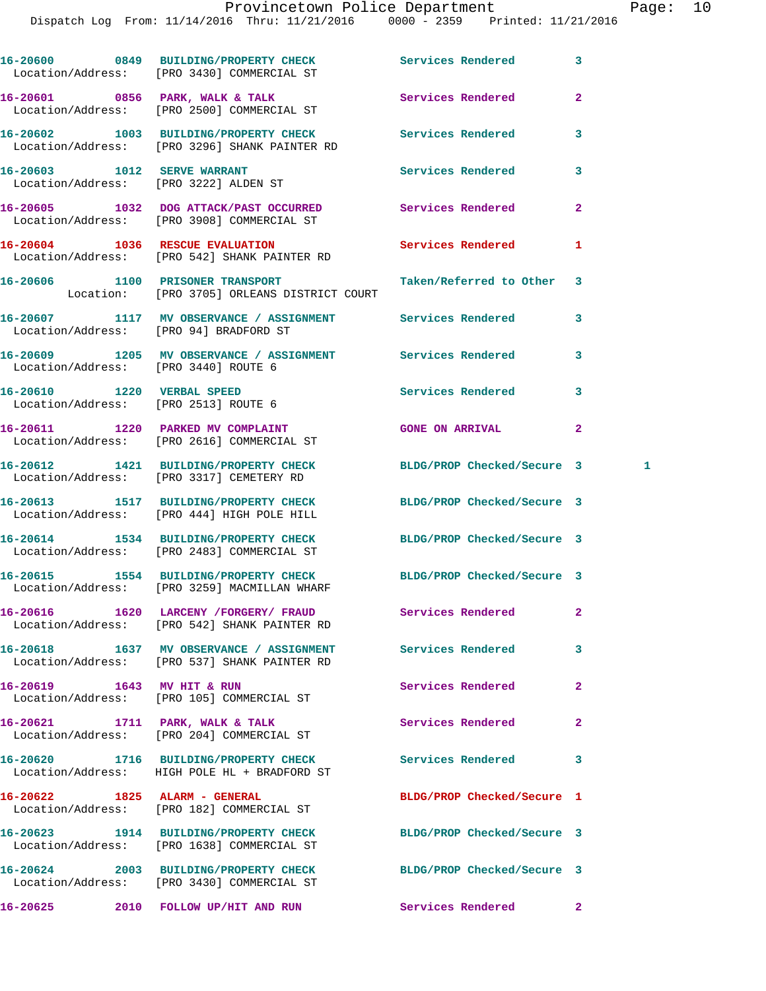|                                                                      | 16-20600 0849 BUILDING/PROPERTY CHECK Services Rendered<br>Location/Address: [PRO 3430] COMMERCIAL ST      |                            | 3              |
|----------------------------------------------------------------------|------------------------------------------------------------------------------------------------------------|----------------------------|----------------|
|                                                                      | 16-20601 0856 PARK, WALK & TALK<br>Location/Address: [PRO 2500] COMMERCIAL ST                              | Services Rendered          | $\overline{a}$ |
|                                                                      | 16-20602 1003 BUILDING/PROPERTY CHECK<br>Location/Address: [PRO 3296] SHANK PAINTER RD                     | Services Rendered          | 3              |
| 16-20603 1012 SERVE WARRANT<br>Location/Address: [PRO 3222] ALDEN ST |                                                                                                            | Services Rendered          | 3              |
|                                                                      | 16-20605 1032 DOG ATTACK/PAST OCCURRED<br>Location/Address: [PRO 3908] COMMERCIAL ST                       | Services Rendered          | $\overline{2}$ |
|                                                                      | 16-20604 1036 RESCUE EVALUATION<br>Location/Address: [PRO 542] SHANK PAINTER RD                            | Services Rendered          | 1              |
|                                                                      | 16-20606 1100 PRISONER TRANSPORT<br>Location: [PRO 3705] ORLEANS DISTRICT COURT                            | Taken/Referred to Other    | 3              |
|                                                                      | 16-20607 1117 MV OBSERVANCE / ASSIGNMENT Services Rendered<br>Location/Address: [PRO 94] BRADFORD ST       |                            | 3              |
| Location/Address: [PRO 3440] ROUTE 6                                 | 16-20609 1205 MV OBSERVANCE / ASSIGNMENT Services Rendered                                                 |                            | 3              |
| 16-20610 1220 VERBAL SPEED<br>Location/Address: [PRO 2513] ROUTE 6   |                                                                                                            | Services Rendered          | 3              |
|                                                                      | 16-20611 1220 PARKED MV COMPLAINT<br>Location/Address: [PRO 2616] COMMERCIAL ST                            | <b>GONE ON ARRIVAL</b>     | $\overline{2}$ |
|                                                                      | 16-20612 1421 BUILDING/PROPERTY CHECK<br>Location/Address: [PRO 3317] CEMETERY RD                          | BLDG/PROP Checked/Secure 3 | 1              |
|                                                                      | 16-20613 1517 BUILDING/PROPERTY CHECK<br>Location/Address: [PRO 444] HIGH POLE HILL                        | BLDG/PROP Checked/Secure 3 |                |
|                                                                      | 16-20614 1534 BUILDING/PROPERTY CHECK<br>Location/Address: [PRO 2483] COMMERCIAL ST                        | BLDG/PROP Checked/Secure 3 |                |
|                                                                      | 16-20615 1554 BUILDING/PROPERTY CHECK<br>Location/Address: [PRO 3259] MACMILLAN WHARF                      | BLDG/PROP Checked/Secure 3 |                |
|                                                                      | 16-20616 1620 LARCENY / FORGERY / FRAUD<br>Location/Address: [PRO 542] SHANK PAINTER RD                    | Services Rendered          | $\mathbf{2}$   |
|                                                                      | 16-20618 1637 MV OBSERVANCE / ASSIGNMENT Services Rendered<br>Location/Address: [PRO 537] SHANK PAINTER RD |                            | 3              |
| 16-20619 1643 MV HIT & RUN                                           | Location/Address: [PRO 105] COMMERCIAL ST                                                                  | Services Rendered          | $\mathbf{2}$   |
|                                                                      | 16-20621 1711 PARK, WALK & TALK<br>Location/Address: [PRO 204] COMMERCIAL ST                               | Services Rendered          | $\mathbf{2}$   |
|                                                                      | 16-20620 1716 BUILDING/PROPERTY CHECK Services Rendered<br>Location/Address: HIGH POLE HL + BRADFORD ST    |                            | 3              |
| 16-20622 1825 ALARM - GENERAL                                        | Location/Address: [PRO 182] COMMERCIAL ST                                                                  | BLDG/PROP Checked/Secure 1 |                |
|                                                                      | 16-20623 1914 BUILDING/PROPERTY CHECK<br>Location/Address: [PRO 1638] COMMERCIAL ST                        | BLDG/PROP Checked/Secure 3 |                |
|                                                                      | 16-20624 2003 BUILDING/PROPERTY CHECK<br>Location/Address: [PRO 3430] COMMERCIAL ST                        | BLDG/PROP Checked/Secure 3 |                |
|                                                                      | 16-20625 2010 FOLLOW UP/HIT AND RUN Services Rendered                                                      |                            | $\mathbf{2}$   |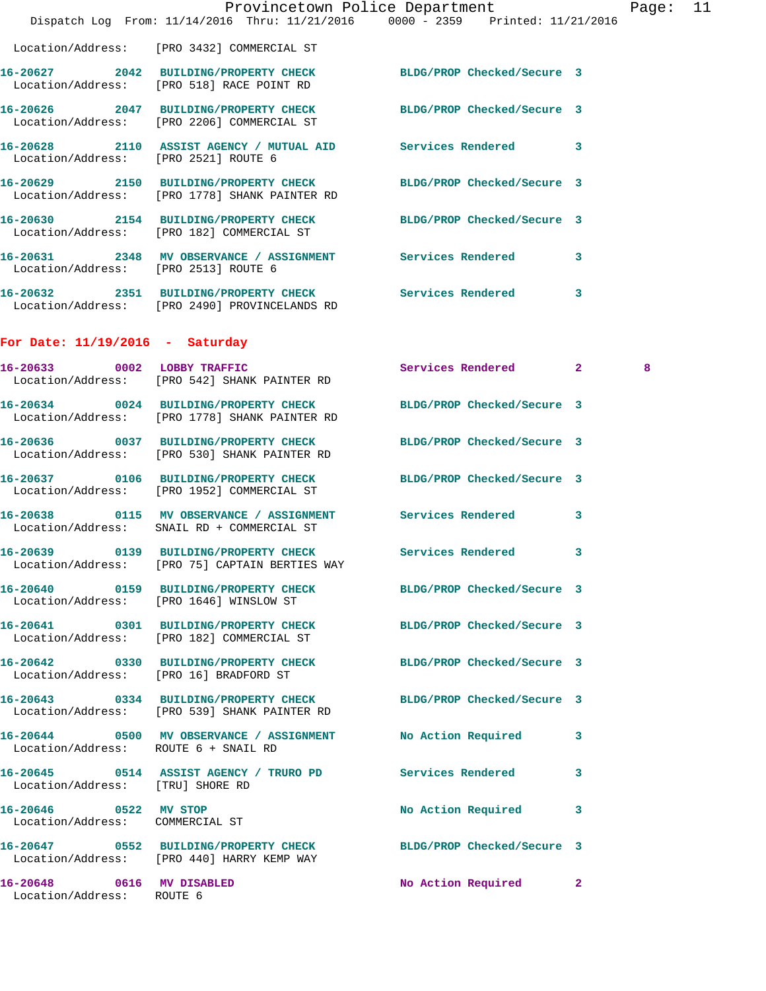|                                                          | Provincetown Police Department<br>Dispatch Log From: 11/14/2016 Thru: 11/21/2016 0000 - 2359 Printed: 11/21/2016  |                            |   | Page: | 11 |
|----------------------------------------------------------|-------------------------------------------------------------------------------------------------------------------|----------------------------|---|-------|----|
|                                                          | Location/Address: [PRO 3432] COMMERCIAL ST                                                                        |                            |   |       |    |
|                                                          | 16-20627 2042 BUILDING/PROPERTY CHECK BLDG/PROP Checked/Secure 3<br>Location/Address: [PRO 518] RACE POINT RD     |                            |   |       |    |
|                                                          | 16-20626 2047 BUILDING/PROPERTY CHECK<br>Location/Address: [PRO 2206] COMMERCIAL ST                               | BLDG/PROP Checked/Secure 3 |   |       |    |
| Location/Address: [PRO 2521] ROUTE 6                     | 16-20628 2110 ASSIST AGENCY / MUTUAL AID Services Rendered 3                                                      |                            |   |       |    |
|                                                          | 16-20629 2150 BUILDING/PROPERTY CHECK<br>Location/Address: [PRO 1778] SHANK PAINTER RD                            | BLDG/PROP Checked/Secure 3 |   |       |    |
|                                                          | 16-20630 2154 BUILDING/PROPERTY CHECK BLDG/PROP Checked/Secure 3<br>Location/Address: [PRO 182] COMMERCIAL ST     |                            |   |       |    |
| Location/Address: [PRO 2513] ROUTE 6                     | 16-20631 2348 MV OBSERVANCE / ASSIGNMENT Services Rendered 3                                                      |                            |   |       |    |
|                                                          | 16-20632 2351 BUILDING/PROPERTY CHECK Services Rendered 3<br>Location/Address: [PRO 2490] PROVINCELANDS RD        |                            |   |       |    |
| For Date: $11/19/2016$ - Saturday                        |                                                                                                                   |                            |   |       |    |
| 16-20633 0002 LOBBY TRAFFIC                              | Location/Address: [PRO 542] SHANK PAINTER RD                                                                      | Services Rendered 2        |   | 8     |    |
|                                                          | 16-20634 0024 BUILDING/PROPERTY CHECK<br>Location/Address: [PRO 1778] SHANK PAINTER RD                            | BLDG/PROP Checked/Secure 3 |   |       |    |
|                                                          | 16-20636 0037 BUILDING/PROPERTY CHECK<br>Location/Address: [PRO 530] SHANK PAINTER RD                             | BLDG/PROP Checked/Secure 3 |   |       |    |
|                                                          | 16-20637 0106 BUILDING/PROPERTY CHECK<br>Location/Address: [PRO 1952] COMMERCIAL ST                               | BLDG/PROP Checked/Secure 3 |   |       |    |
|                                                          | 16-20638 0115 MV OBSERVANCE / ASSIGNMENT Services Rendered 3<br>Location/Address: SNAIL RD + COMMERCIAL ST        |                            |   |       |    |
|                                                          | Location/Address: [PRO 75] CAPTAIN BERTIES WAY                                                                    | <b>Services Rendered</b>   | 3 |       |    |
|                                                          | 16-20640 		 0159 BUILDING/PROPERTY CHECK 			BLDG/PROP Checked/Secure 3<br>Location/Address: [PRO 1646] WINSLOW ST |                            |   |       |    |
|                                                          | 16-20641 0301 BUILDING/PROPERTY CHECK<br>Location/Address: [PRO 182] COMMERCIAL ST                                | BLDG/PROP Checked/Secure 3 |   |       |    |
|                                                          | 16-20642 0330 BUILDING/PROPERTY CHECK<br>Location/Address: [PRO 16] BRADFORD ST                                   | BLDG/PROP Checked/Secure 3 |   |       |    |
|                                                          | 16-20643 0334 BUILDING/PROPERTY CHECK<br>Location/Address: [PRO 539] SHANK PAINTER RD                             | BLDG/PROP Checked/Secure 3 |   |       |    |
| Location/Address: ROUTE 6 + SNAIL RD                     | 16-20644 0500 MV OBSERVANCE / ASSIGNMENT                                                                          | No Action Required 3       |   |       |    |
| Location/Address: [TRU] SHORE RD                         | 16-20645 0514 ASSIST AGENCY / TRURO PD Services Rendered                                                          |                            | 3 |       |    |
| 16-20646 0522 MV STOP<br>Location/Address: COMMERCIAL ST |                                                                                                                   | No Action Required         | 3 |       |    |
|                                                          | 16-20647 0552 BUILDING/PROPERTY CHECK<br>Location/Address: [PRO 440] HARRY KEMP WAY                               | BLDG/PROP Checked/Secure 3 |   |       |    |
| 16-20648 0616 MV DISABLED<br>Location/Address: ROUTE 6   |                                                                                                                   | No Action Required 2       |   |       |    |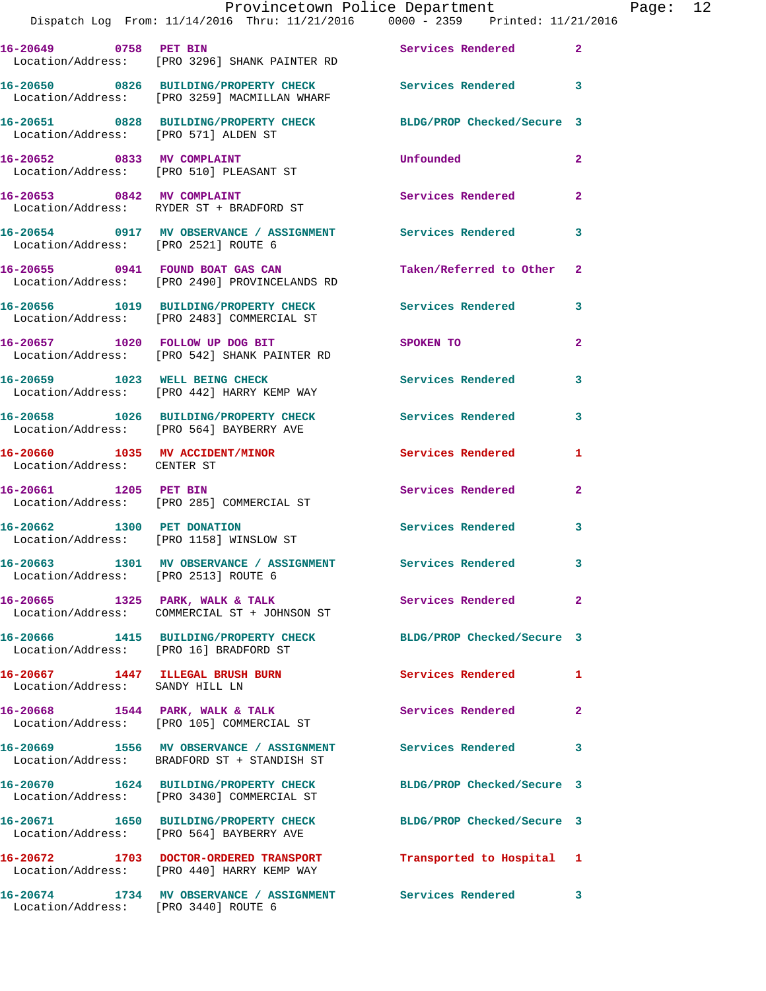|                                        | Dispatch Log From: 11/14/2016 Thru: 11/21/2016 0000 - 2359 Printed: 11/21/2016                                 | Provincetown Police Department |              | Page: 12 |  |
|----------------------------------------|----------------------------------------------------------------------------------------------------------------|--------------------------------|--------------|----------|--|
|                                        | 16-20649 0758 PET BIN<br>Location/Address: [PRO 3296] SHANK PAINTER RD                                         | Services Rendered 2            |              |          |  |
|                                        | 16-20650 0826 BUILDING/PROPERTY CHECK Services Rendered 3<br>Location/Address: [PRO 3259] MACMILLAN WHARF      |                                |              |          |  |
|                                        | 16-20651 0828 BUILDING/PROPERTY CHECK BLDG/PROP Checked/Secure 3<br>Location/Address: [PRO 571] ALDEN ST       |                                |              |          |  |
|                                        | 16-20652 0833 MV COMPLAINT<br>Location/Address: [PRO 510] PLEASANT ST                                          | <b>Unfounded</b>               | $\mathbf{2}$ |          |  |
|                                        | 16-20653 0842 MV COMPLAINT<br>Location/Address: RYDER ST + BRADFORD ST                                         | Services Rendered              | $\mathbf{2}$ |          |  |
| Location/Address: [PRO 2521] ROUTE 6   | 16-20654 0917 MV OBSERVANCE / ASSIGNMENT Services Rendered                                                     |                                | 3            |          |  |
|                                        | 16-20655 0941 FOUND BOAT GAS CAN<br>Location/Address: [PRO 2490] PROVINCELANDS RD                              | Taken/Referred to Other 2      |              |          |  |
|                                        | 16-20656 1019 BUILDING/PROPERTY CHECK Services Rendered 3<br>Location/Address: [PRO 2483] COMMERCIAL ST        |                                |              |          |  |
|                                        | 16-20657 1020 FOLLOW UP DOG BIT<br>Location/Address: [PRO 542] SHANK PAINTER RD                                | SPOKEN TO AND THE SPOKEN TO    | $\mathbf{2}$ |          |  |
|                                        | 16-20659 1023 WELL BEING CHECK<br>Location/Address: [PRO 442] HARRY KEMP WAY                                   | Services Rendered              | 3            |          |  |
|                                        | 16-20658 1026 BUILDING/PROPERTY CHECK Services Rendered<br>Location/Address: [PRO 564] BAYBERRY AVE            |                                | 3            |          |  |
| Location/Address: CENTER ST            | 16-20660 1035 MV ACCIDENT/MINOR Services Rendered                                                              |                                | 1            |          |  |
| 16-20661 1205 PET BIN                  | Location/Address: [PRO 285] COMMERCIAL ST                                                                      | Services Rendered              | $\mathbf{2}$ |          |  |
|                                        | 16-20662 1300 PET DONATION<br>Location/Address: [PRO 1158] WINSLOW ST                                          | Services Rendered 3            |              |          |  |
| Location/Address: [PRO 2513] ROUTE 6   | 16-20663 1301 MV OBSERVANCE / ASSIGNMENT Services Rendered                                                     |                                |              |          |  |
|                                        | 16-20665 1325 PARK, WALK & TALK<br>Location/Address: COMMERCIAL ST + JOHNSON ST                                | Services Rendered              | $\mathbf{2}$ |          |  |
| Location/Address: [PRO 16] BRADFORD ST | 16-20666 1415 BUILDING/PROPERTY CHECK                                                                          | BLDG/PROP Checked/Secure 3     |              |          |  |
| Location/Address: SANDY HILL LN        | 16-20667 1447 ILLEGAL BRUSH BURN                                                                               | Services Rendered              | -1           |          |  |
|                                        | 16-20668 1544 PARK, WALK & TALK<br>Location/Address: [PRO 105] COMMERCIAL ST                                   | Services Rendered 2            |              |          |  |
|                                        | 16-20669 1556 MV OBSERVANCE / ASSIGNMENT<br>Location/Address: BRADFORD ST + STANDISH ST                        | Services Rendered              | 3            |          |  |
|                                        | 16-20670 1624 BUILDING/PROPERTY CHECK BLDG/PROP Checked/Secure 3<br>Location/Address: [PRO 3430] COMMERCIAL ST |                                |              |          |  |
|                                        | 16-20671 1650 BUILDING/PROPERTY CHECK BLDG/PROP Checked/Secure 3<br>Location/Address: [PRO 564] BAYBERRY AVE   |                                |              |          |  |
|                                        | 16-20672 1703 DOCTOR-ORDERED TRANSPORT Transported to Hospital 1<br>Location/Address: [PRO 440] HARRY KEMP WAY |                                |              |          |  |
|                                        | 16-20674 1734 MV OBSERVANCE / ASSIGNMENT Services Rendered 3                                                   |                                |              |          |  |

Location/Address: [PRO 3440] ROUTE 6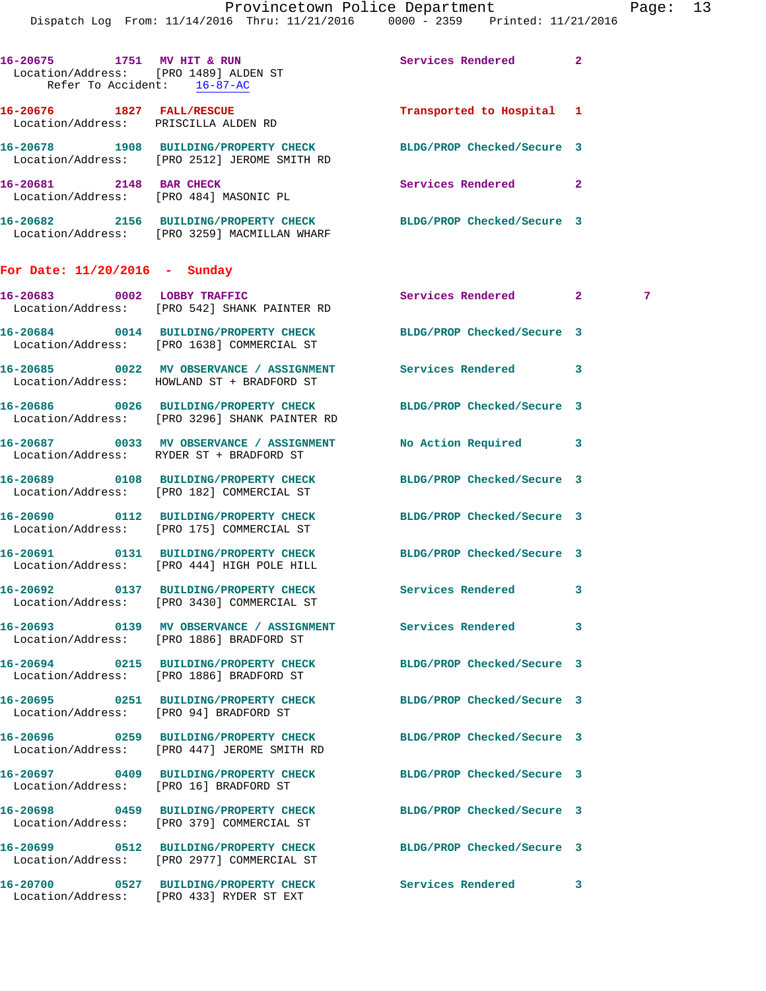| 16-20675<br>Refer To Accident: |      | 1751 MV HIT & RUN<br>Location/Address: [PRO 1489] ALDEN ST<br>$16 - 87 - AC$ | Services Rendered          | 2  |
|--------------------------------|------|------------------------------------------------------------------------------|----------------------------|----|
| 16-20676                       | 1827 | <b>FALL/RESCUE</b><br>Location/Address: PRISCILLA ALDEN RD                   | Transported to Hospital    | -1 |
| 16-20678<br>Location/Address:  | 1908 | <b>BUILDING/PROPERTY CHECK</b><br>FRO 25121 JEROME SMITH RD                  | BLDG/PROP Checked/Secure 3 |    |
| 16–20681<br>Location/Address:  | 2148 | <b>BAR CHECK</b><br>[PRO 484] MASONIC PL                                     | Services Rendered          | 2  |
| 16-20682<br>Location/Address:  | 2156 | BUILDING/PROPERTY CHECK<br>[PRO 3259] MACMILLAN WHARF                        | BLDG/PROP Checked/Secure 3 |    |

## **For Date: 11/20/2016 - Sunday**

| 16-20683 0002 LOBBY TRAFFIC | Location/Address: [PRO 542] SHANK PAINTER RD                                                                      | Services Rendered 2        |   | 7 |
|-----------------------------|-------------------------------------------------------------------------------------------------------------------|----------------------------|---|---|
|                             | 16-20684 0014 BUILDING/PROPERTY CHECK<br>Location/Address: [PRO 1638] COMMERCIAL ST                               | BLDG/PROP Checked/Secure 3 |   |   |
|                             | 16-20685 0022 MV OBSERVANCE / ASSIGNMENT Services Rendered<br>Location/Address: HOWLAND ST + BRADFORD ST          |                            | 3 |   |
|                             | 16-20686 0026 BUILDING/PROPERTY CHECK BLDG/PROP Checked/Secure 3<br>Location/Address: [PRO 3296] SHANK PAINTER RD |                            |   |   |
|                             | 16-20687 0033 MV OBSERVANCE / ASSIGNMENT No Action Required 3<br>Location/Address: RYDER ST + BRADFORD ST         |                            |   |   |
|                             | 16-20689 0108 BUILDING/PROPERTY CHECK<br>Location/Address: [PRO 182] COMMERCIAL ST                                | BLDG/PROP Checked/Secure 3 |   |   |
|                             | 16-20690 0112 BUILDING/PROPERTY CHECK<br>Location/Address: [PRO 175] COMMERCIAL ST                                | BLDG/PROP Checked/Secure 3 |   |   |
|                             | 16-20691 0131 BUILDING/PROPERTY CHECK<br>Location/Address: [PRO 444] HIGH POLE HILL                               | BLDG/PROP Checked/Secure 3 |   |   |
|                             | 16-20692 0137 BUILDING/PROPERTY CHECK Services Rendered<br>Location/Address: [PRO 3430] COMMERCIAL ST             |                            | 3 |   |
|                             | 16-20693 0139 MV OBSERVANCE / ASSIGNMENT Services Rendered<br>Location/Address: [PRO 1886] BRADFORD ST            |                            | 3 |   |
|                             | 16-20694 0215 BUILDING/PROPERTY CHECK<br>Location/Address: [PRO 1886] BRADFORD ST                                 | BLDG/PROP Checked/Secure 3 |   |   |
|                             | 16-20695 0251 BUILDING/PROPERTY CHECK<br>Location/Address: [PRO 94] BRADFORD ST                                   | BLDG/PROP Checked/Secure 3 |   |   |
|                             | 16-20696 0259 BUILDING/PROPERTY CHECK<br>Location/Address: [PRO 447] JEROME SMITH RD                              | BLDG/PROP Checked/Secure 3 |   |   |
|                             | 16-20697 0409 BUILDING/PROPERTY CHECK BLDG/PROP Checked/Secure 3<br>Location/Address: [PRO 16] BRADFORD ST        |                            |   |   |
|                             | 16-20698 0459 BUILDING/PROPERTY CHECK<br>Location/Address: [PRO 379] COMMERCIAL ST                                | BLDG/PROP Checked/Secure 3 |   |   |
|                             | 16-20699 0512 BUILDING/PROPERTY CHECK<br>Location/Address: [PRO 2977] COMMERCIAL ST                               | BLDG/PROP Checked/Secure 3 |   |   |
|                             | 16-20700 0527 BUILDING/PROPERTY CHECK<br>Location/Address: [PRO 433] RYDER ST EXT                                 | Services Rendered          | 3 |   |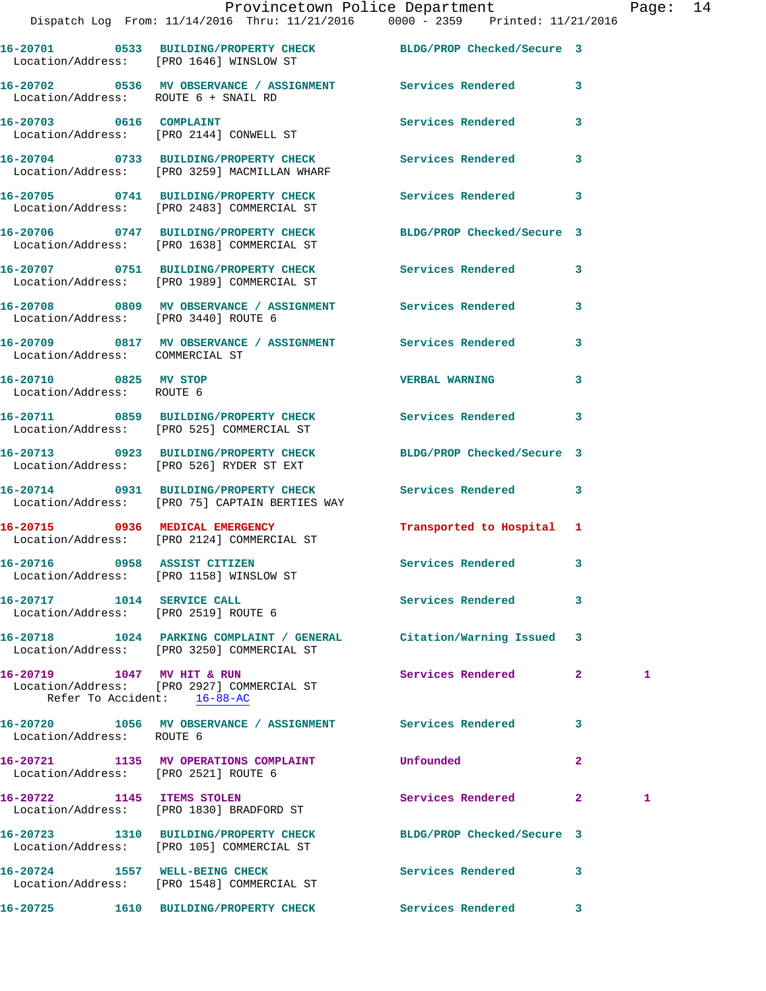|                                                                    | Dispatch Log From: 11/14/2016 Thru: 11/21/2016 0000 - 2359 Printed: 11/21/2016                                    | Provincetown Police Department |                | Page: 14 |  |
|--------------------------------------------------------------------|-------------------------------------------------------------------------------------------------------------------|--------------------------------|----------------|----------|--|
|                                                                    | 16-20701 0533 BUILDING/PROPERTY CHECK BLDG/PROP Checked/Secure 3<br>Location/Address: [PRO 1646] WINSLOW ST       |                                |                |          |  |
| Location/Address: ROUTE 6 + SNAIL RD                               | 16-20702 0536 MV OBSERVANCE / ASSIGNMENT Services Rendered 3                                                      |                                |                |          |  |
|                                                                    | 16-20703 0616 COMPLAINT<br>Location/Address: [PRO 2144] CONWELL ST                                                | <b>Services Rendered</b>       | 3              |          |  |
|                                                                    | 16-20704 0733 BUILDING/PROPERTY CHECK Services Rendered 3<br>Location/Address: [PRO 3259] MACMILLAN WHARF         |                                |                |          |  |
|                                                                    | 16-20705 0741 BUILDING/PROPERTY CHECK Services Rendered 3<br>Location/Address: [PRO 2483] COMMERCIAL ST           |                                |                |          |  |
|                                                                    | 16-20706 0747 BUILDING/PROPERTY CHECK BLDG/PROP Checked/Secure 3<br>Location/Address: [PRO 1638] COMMERCIAL ST    |                                |                |          |  |
|                                                                    | 16-20707 0751 BUILDING/PROPERTY CHECK Services Rendered 3<br>Location/Address: [PRO 1989] COMMERCIAL ST           |                                |                |          |  |
| Location/Address: [PRO 3440] ROUTE 6                               | 16-20708 0809 MV OBSERVANCE / ASSIGNMENT Services Rendered 3                                                      |                                |                |          |  |
| Location/Address: COMMERCIAL ST                                    | 16-20709 0817 MV OBSERVANCE / ASSIGNMENT Services Rendered 3                                                      |                                |                |          |  |
| 16-20710 0825 MV STOP<br>Location/Address: ROUTE 6                 |                                                                                                                   | <b>VERBAL WARNING</b>          | 3              |          |  |
|                                                                    | 16-20711 0859 BUILDING/PROPERTY CHECK Services Rendered 3<br>Location/Address: [PRO 525] COMMERCIAL ST            |                                |                |          |  |
|                                                                    | 16-20713 0923 BUILDING/PROPERTY CHECK BLDG/PROP Checked/Secure 3<br>Location/Address: [PRO 526] RYDER ST EXT      |                                |                |          |  |
|                                                                    | 16-20714 0931 BUILDING/PROPERTY CHECK Services Rendered 3<br>Location/Address: [PRO 75] CAPTAIN BERTIES WAY       |                                |                |          |  |
|                                                                    | 16-20715 0936 MEDICAL EMERGENCY<br>Location/Address: [PRO 2124] COMMERCIAL ST                                     | Transported to Hospital 1      |                |          |  |
|                                                                    | 16-20716 0958 ASSIST CITIZEN<br>Location/Address: [PRO 1158] WINSLOW ST                                           | Services Rendered              | 3              |          |  |
| 16-20717 1014 SERVICE CALL<br>Location/Address: [PRO 2519] ROUTE 6 |                                                                                                                   | Services Rendered              | 3              |          |  |
|                                                                    | 16-20718 1024 PARKING COMPLAINT / GENERAL Citation/Warning Issued 3<br>Location/Address: [PRO 3250] COMMERCIAL ST |                                |                |          |  |
| 16-20719 1047 MV HIT & RUN<br>Refer To Accident: 16-88-AC          | Location/Address: [PRO 2927] COMMERCIAL ST                                                                        | Services Rendered              | $\mathbf{2}$   | 1        |  |
| Location/Address: ROUTE 6                                          | 16-20720 1056 MV OBSERVANCE / ASSIGNMENT Services Rendered                                                        | $\sim$ 3                       |                |          |  |
| Location/Address: [PRO 2521] ROUTE 6                               | 16-20721 1135 MV OPERATIONS COMPLAINT                                                                             | Unfounded                      | $\overline{2}$ |          |  |
| 16-20722 1145 ITEMS STOLEN                                         | Location/Address: [PRO 1830] BRADFORD ST                                                                          | Services Rendered 2            |                | 1        |  |
|                                                                    | 16-20723 1310 BUILDING/PROPERTY CHECK<br>Location/Address: [PRO 105] COMMERCIAL ST                                | BLDG/PROP Checked/Secure 3     |                |          |  |
| 16-20724 1557 WELL-BEING CHECK                                     | Location/Address: [PRO 1548] COMMERCIAL ST                                                                        | Services Rendered 3            |                |          |  |

**16-20725 1610 BUILDING/PROPERTY CHECK Services Rendered 3**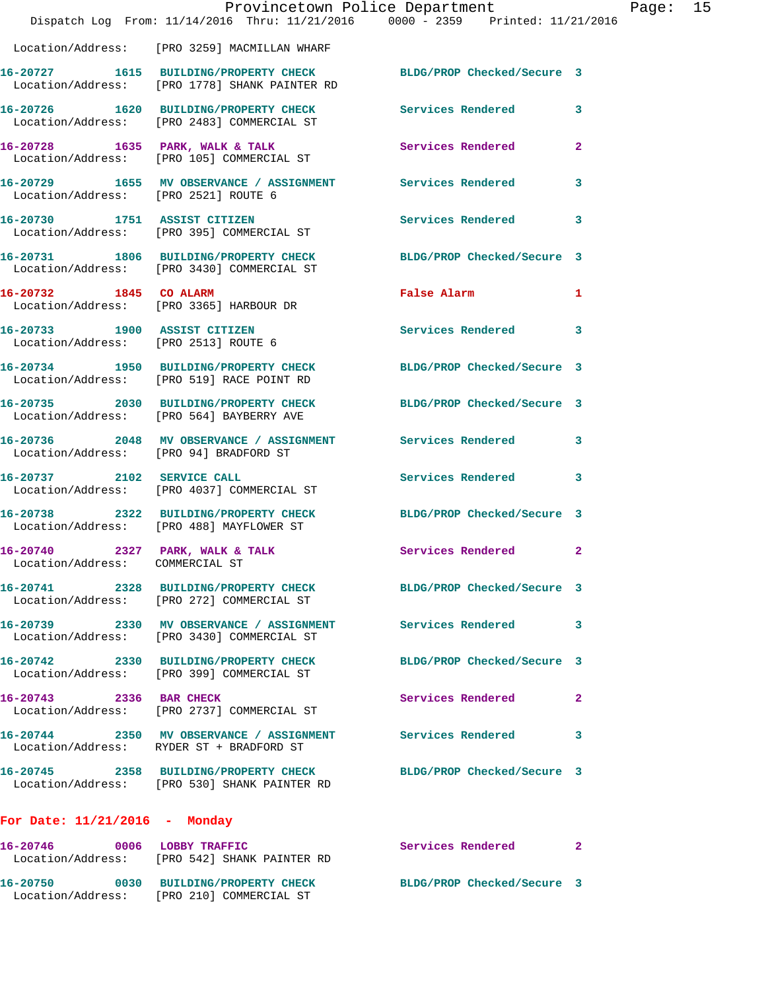|                                        | Dispatch Log From: 11/14/2016 Thru: 11/21/2016 0000 - 2359 Printed: 11/21/2016                                        | Provincetown Police Department |                | Page: 15 |  |
|----------------------------------------|-----------------------------------------------------------------------------------------------------------------------|--------------------------------|----------------|----------|--|
|                                        | Location/Address: [PRO 3259] MACMILLAN WHARF                                                                          |                                |                |          |  |
|                                        | 16-20727   1615   BUILDING/PROPERTY CHECK BLDG/PROP Checked/Secure 3<br>Location/Address: [PRO 1778] SHANK PAINTER RD |                                |                |          |  |
|                                        | 16-20726 1620 BUILDING/PROPERTY CHECK Services Rendered 3<br>Location/Address: [PRO 2483] COMMERCIAL ST               |                                |                |          |  |
|                                        | 16-20728 1635 PARK, WALK & TALK<br>Location/Address: [PRO 105] COMMERCIAL ST                                          | Services Rendered              | $\overline{2}$ |          |  |
| Location/Address: [PRO 2521] ROUTE 6   | 16-20729 1655 MV OBSERVANCE / ASSIGNMENT Services Rendered 3                                                          |                                |                |          |  |
|                                        | 16-20730 1751 ASSIST CITIZEN<br>Location/Address: [PRO 395] COMMERCIAL ST                                             | Services Rendered 3            |                |          |  |
|                                        | 16-20731 1806 BUILDING/PROPERTY CHECK<br>Location/Address: [PRO 3430] COMMERCIAL ST                                   | BLDG/PROP Checked/Secure 3     |                |          |  |
| 16-20732 1845 CO ALARM                 | Location/Address: [PRO 3365] HARBOUR DR                                                                               | False Alarm 1                  |                |          |  |
| Location/Address: [PRO 2513] ROUTE 6   | 16-20733 1900 ASSIST CITIZEN                                                                                          | Services Rendered 3            |                |          |  |
|                                        | 16-20734 1950 BUILDING/PROPERTY CHECK BLDG/PROP Checked/Secure 3<br>Location/Address: [PRO 519] RACE POINT RD         |                                |                |          |  |
|                                        | 16-20735 2030 BUILDING/PROPERTY CHECK BLDG/PROP Checked/Secure 3<br>Location/Address: [PRO 564] BAYBERRY AVE          |                                |                |          |  |
| Location/Address: [PRO 94] BRADFORD ST | 16-20736 2048 MV OBSERVANCE / ASSIGNMENT Services Rendered 3                                                          |                                |                |          |  |
|                                        | 16-20737 2102 SERVICE CALL<br>Location/Address: [PRO 4037] COMMERCIAL ST                                              | Services Rendered 3            |                |          |  |
|                                        | 16-20738 2322 BUILDING/PROPERTY CHECK BLDG/PROP Checked/Secure 3<br>Location/Address: [PRO 488] MAYFLOWER ST          |                                |                |          |  |
| Location/Address: COMMERCIAL ST        | 16-20740 2327 PARK, WALK & TALK 2 Services Rendered 2                                                                 |                                |                |          |  |
|                                        | 16-20741 2328 BUILDING/PROPERTY CHECK BLDG/PROP Checked/Secure 3<br>Location/Address: [PRO 272] COMMERCIAL ST         |                                |                |          |  |
|                                        | 16-20739 2330 MV OBSERVANCE / ASSIGNMENT Services Rendered 3<br>Location/Address: [PRO 3430] COMMERCIAL ST            |                                |                |          |  |
|                                        | 16-20742 2330 BUILDING/PROPERTY CHECK BLDG/PROP Checked/Secure 3<br>Location/Address: [PRO 399] COMMERCIAL ST         |                                |                |          |  |
|                                        | 16-20743 2336 BAR CHECK<br>Location/Address: [PRO 2737] COMMERCIAL ST                                                 | Services Rendered              | $\mathbf{2}$   |          |  |
|                                        | 16-20744 2350 MV OBSERVANCE / ASSIGNMENT Services Rendered 3<br>Location/Address: RYDER ST + BRADFORD ST              |                                |                |          |  |
|                                        | 16-20745 2358 BUILDING/PROPERTY CHECK BLDG/PROP Checked/Secure 3<br>Location/Address: [PRO 530] SHANK PAINTER RD      |                                |                |          |  |
| For Date: $11/21/2016$ - Monday        |                                                                                                                       |                                |                |          |  |
|                                        | 16-20746 0006 LOBBY TRAFFIC<br>Location/Address: [PRO 542] SHANK PAINTER RD                                           | Services Rendered 2            |                |          |  |
|                                        | 16-20750 0030 BUILDING/PROPERTY CHECK BLDG/PROP Checked/Secure 3<br>Location/Address: [PRO 210] COMMERCIAL ST         |                                |                |          |  |